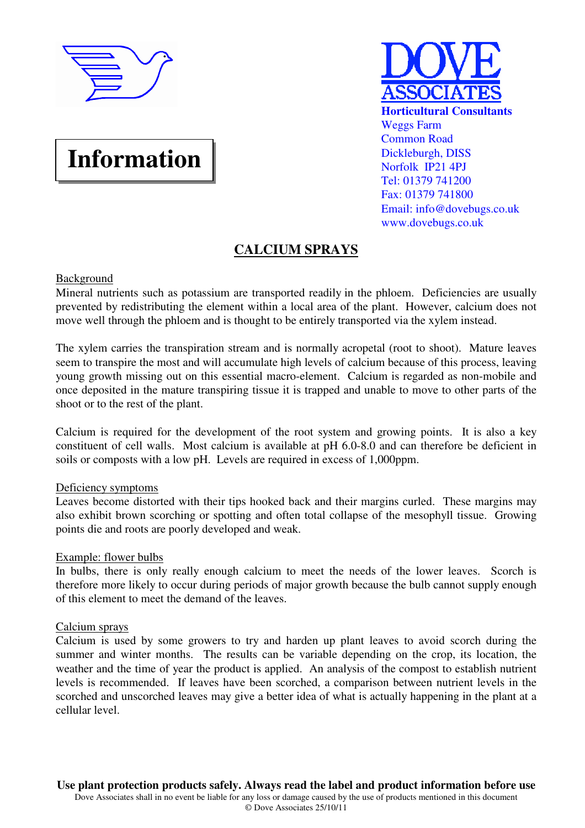

# **Information**



## **CALCIUM SPRAYS**

### **Background**

Mineral nutrients such as potassium are transported readily in the phloem. Deficiencies are usually prevented by redistributing the element within a local area of the plant. However, calcium does not move well through the phloem and is thought to be entirely transported via the xylem instead.

The xylem carries the transpiration stream and is normally acropetal (root to shoot). Mature leaves seem to transpire the most and will accumulate high levels of calcium because of this process, leaving young growth missing out on this essential macro-element. Calcium is regarded as non-mobile and once deposited in the mature transpiring tissue it is trapped and unable to move to other parts of the shoot or to the rest of the plant.

Calcium is required for the development of the root system and growing points. It is also a key constituent of cell walls. Most calcium is available at pH 6.0-8.0 and can therefore be deficient in soils or composts with a low pH. Levels are required in excess of 1,000ppm.

#### Deficiency symptoms

Leaves become distorted with their tips hooked back and their margins curled. These margins may also exhibit brown scorching or spotting and often total collapse of the mesophyll tissue. Growing points die and roots are poorly developed and weak.

#### Example: flower bulbs

In bulbs, there is only really enough calcium to meet the needs of the lower leaves. Scorch is therefore more likely to occur during periods of major growth because the bulb cannot supply enough of this element to meet the demand of the leaves.

#### Calcium sprays

Calcium is used by some growers to try and harden up plant leaves to avoid scorch during the summer and winter months. The results can be variable depending on the crop, its location, the weather and the time of year the product is applied. An analysis of the compost to establish nutrient levels is recommended. If leaves have been scorched, a comparison between nutrient levels in the scorched and unscorched leaves may give a better idea of what is actually happening in the plant at a cellular level.